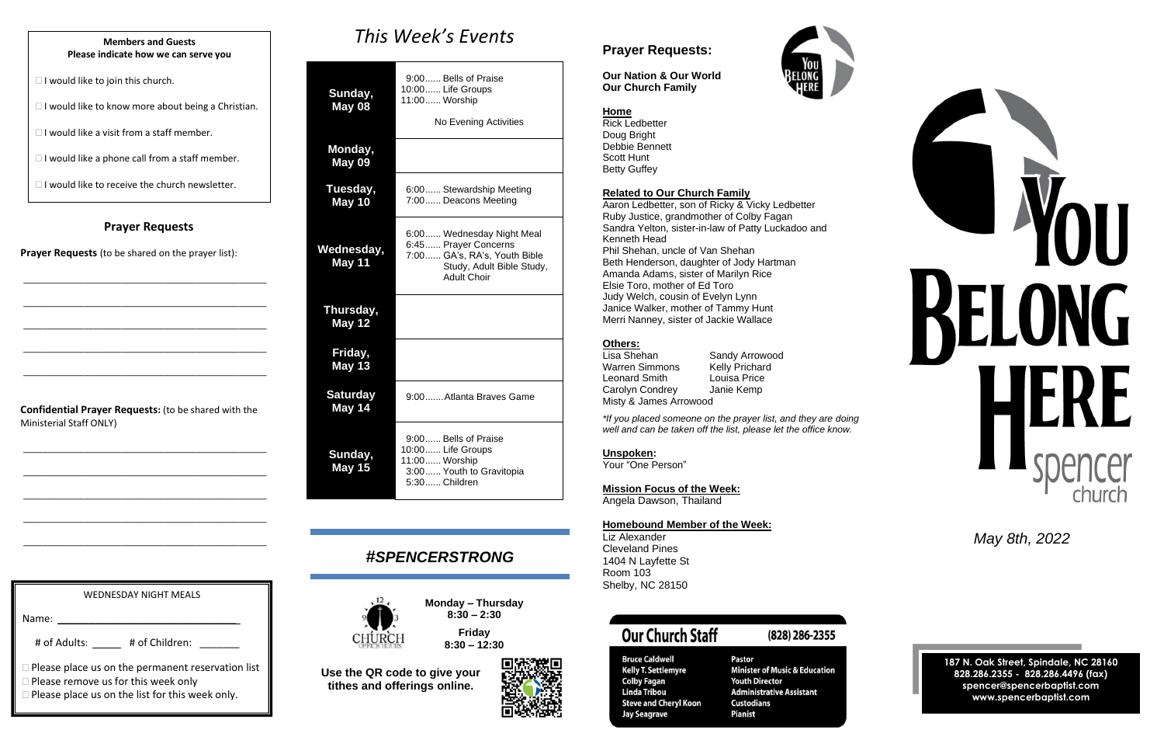#### **Prayer Requests**

**Prayer Requests** (to be shared on the prayer list):

\_\_\_\_\_\_\_\_\_\_\_\_\_\_\_\_\_\_\_\_\_\_\_\_\_\_\_\_\_\_\_\_\_\_\_\_\_\_\_\_\_\_\_\_\_\_\_\_\_\_\_\_

\_\_\_\_\_\_\_\_\_\_\_\_\_\_\_\_\_\_\_\_\_\_\_\_\_\_\_\_\_\_\_\_\_\_\_\_\_\_\_\_\_\_\_\_\_\_\_\_\_\_\_\_

\_\_\_\_\_\_\_\_\_\_\_\_\_\_\_\_\_\_\_\_\_\_\_\_\_\_\_\_\_\_\_\_\_\_\_\_\_\_\_\_\_\_\_\_\_\_\_\_\_\_\_\_

\_\_\_\_\_\_\_\_\_\_\_\_\_\_\_\_\_\_\_\_\_\_\_\_\_\_\_\_\_\_\_\_\_\_\_\_\_\_\_\_\_\_\_\_\_\_\_\_\_\_\_\_

\_\_\_\_\_\_\_\_\_\_\_\_\_\_\_\_\_\_\_\_\_\_\_\_\_\_\_\_\_\_\_\_\_\_\_\_\_\_\_\_\_\_\_\_\_\_\_\_\_\_\_\_

**Confidential Prayer Requests:** (to be shared with the Ministerial Staff ONLY)

\_\_\_\_\_\_\_\_\_\_\_\_\_\_\_\_\_\_\_\_\_\_\_\_\_\_\_\_\_\_\_\_\_\_\_\_\_\_\_\_\_\_\_\_\_\_\_\_\_\_\_\_

\_\_\_\_\_\_\_\_\_\_\_\_\_\_\_\_\_\_\_\_\_\_\_\_\_\_\_\_\_\_\_\_\_\_\_\_\_\_\_\_\_\_\_\_\_\_\_\_\_\_\_\_

\_\_\_\_\_\_\_\_\_\_\_\_\_\_\_\_\_\_\_\_\_\_\_\_\_\_\_\_\_\_\_\_\_\_\_\_\_\_\_\_\_\_\_\_\_\_\_\_\_\_\_\_

\_\_\_\_\_\_\_\_\_\_\_\_\_\_\_\_\_\_\_\_\_\_\_\_\_\_\_\_\_\_\_\_\_\_\_\_\_\_\_\_\_\_\_\_\_\_\_\_\_\_\_\_

\_\_\_\_\_\_\_\_\_\_\_\_\_\_\_\_\_\_\_\_\_\_\_\_\_\_\_\_\_\_\_\_\_\_\_\_\_\_\_\_\_\_\_\_\_\_\_\_\_\_\_\_

*This Week's Events*

| Sunday,<br><b>May 08</b>   | 9:00 Bells of Praise<br>10:00 Life Groups<br>11:00 Worship<br>No Evening Activities                                                  |
|----------------------------|--------------------------------------------------------------------------------------------------------------------------------------|
| Monday,<br><b>May 09</b>   |                                                                                                                                      |
| Tuesday,<br>May 10         | 6:00 Stewardship Meeting<br>7:00 Deacons Meeting                                                                                     |
| Wednesday,<br>May 11       | 6:00 Wednesday Night Meal<br>6:45 Prayer Concerns<br>7:00 GA's, RA's, Youth Bible<br>Study, Adult Bible Study,<br><b>Adult Choir</b> |
| Thursday,<br><b>May 12</b> |                                                                                                                                      |
| Friday,<br><b>May 13</b>   |                                                                                                                                      |
| <b>Saturday</b><br>May 14  | 9:00 Atlanta Braves Game                                                                                                             |
| Sunday,<br><b>May 15</b>   | 9:00 Bells of Praise<br>10:00 Life Groups<br>11:00 Worship<br>3:00 Youth to Gravitopia<br>5:30 Children                              |

Lisa Shehan Sandy Arrowood<br>
Warren Simmons Kelly Prichard Warren Simmons Leonard Smith Louisa Price Carolyn Condrey Janie Kemp Misty & James Arrowood

## *#SPENCERSTRONG*



**Monday – Thursday 8:30 – 2:30 Friday**

# **8:30 – 12:30**





**Use the QR code to give your tithes and offerings online.**

### **Prayer Requests:**

**Our Nation & Our World Our Church Family**



#### **Home**

Rick Ledbetter Doug Bright Debbie Bennett Scott Hunt Betty Guffey

#### **Related to Our Church Family**

Aaron Ledbetter, son of Ricky & Vicky Ledbetter Ruby Justice, grandmother of Colby Fagan Sandra Yelton, sister-in-law of Patty Luckadoo and Kenneth Head Phil Shehan, uncle of Van Shehan Beth Henderson, daughter of Jody Hartman Amanda Adams, sister of Marilyn Rice Elsie Toro, mother of Ed Toro Judy Welch, cousin of Evelyn Lynn Janice Walker, mother of Tammy Hunt Merri Nanney, sister of Jackie Wallace

#### **Others:**

*\*If you placed someone on the prayer list, and they are doing well and can be taken off the list, please let the office know.*

**Unspoken:**

Your "One Person"

**Mission Focus of the Week:**

Angela Dawson, Thailand

#### **Homebound Member of the Week:**

Liz Alexander Cleveland Pines 1404 N Layfette St Room 103 Shelby, NC 28150

# **Our Church Staff**

#### (828) 286-2355

**Bruce Caldwell Kelly T. Settlemyre Colby Fagan Linda Tribou Steve and Cheryl Koon Jay Seagrave** 

Pastor **Minister of Music & Education Youth Director Administrative Assistant Custodians Pianist** 

Name: # of Adults: \_\_\_\_\_ # of Children: \_\_\_\_\_\_

 $\Box$  Please place us on the permanent reservation list

□ Please remove us for this week only

*May 8th, 2022*

**187 N. Oak Street, Spindale, NC 28160 828.286.2355 - 828.286.4496 (fax) spencer@spencerbaptist.com www.spencerbaptist.com**

#### **Members and Guests Please indicate how we can serve you**

 $\Box$  I would like to join this church.

 $\Box$  I would like to know more about being a Christian.

 $\Box$  I would like a visit from a staff member.

 $\Box$  I would like a phone call from a staff member.

 $\Box$  I would like to receive the church newsletter.

WEDNESDAY NIGHT MEALS

Please place us on the list for this week only.